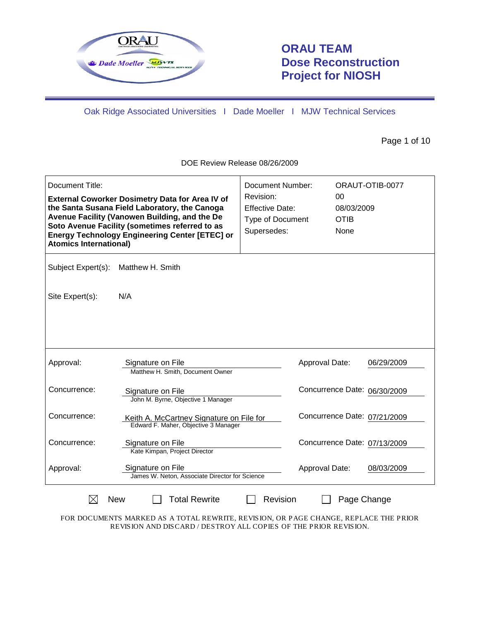

# **ORAU TEAM Dose Reconstruction Project for NIOSH**

Oak Ridge Associated Universities I Dade Moeller I MJW Technical Services

Page 1 of 10

DOE Review Release 08/26/2009

| Document Title:<br><b>Atomics International)</b>              | <b>External Coworker Dosimetry Data for Area IV of</b><br>the Santa Susana Field Laboratory, the Canoga<br>Avenue Facility (Vanowen Building, and the De<br>Soto Avenue Facility (sometimes referred to as<br><b>Energy Technology Engineering Center [ETEC] or</b> | <b>Document Number:</b><br>Revision:<br><b>Effective Date:</b><br><b>Type of Document</b><br>Supersedes: | 00<br>08/03/2009<br><b>OTIB</b><br>None | ORAUT-OTIB-0077 |  |
|---------------------------------------------------------------|---------------------------------------------------------------------------------------------------------------------------------------------------------------------------------------------------------------------------------------------------------------------|----------------------------------------------------------------------------------------------------------|-----------------------------------------|-----------------|--|
| Subject Expert(s):                                            | Matthew H. Smith                                                                                                                                                                                                                                                    |                                                                                                          |                                         |                 |  |
| Site Expert(s):                                               | N/A                                                                                                                                                                                                                                                                 |                                                                                                          |                                         |                 |  |
|                                                               |                                                                                                                                                                                                                                                                     |                                                                                                          |                                         |                 |  |
| Approval:                                                     | Signature on File<br>Matthew H. Smith, Document Owner                                                                                                                                                                                                               |                                                                                                          | Approval Date:                          | 06/29/2009      |  |
| Concurrence:                                                  | Signature on File<br>John M. Byrne, Objective 1 Manager                                                                                                                                                                                                             |                                                                                                          | Concurrence Date: 06/30/2009            |                 |  |
| Concurrence:                                                  | Keith A. McCartney Signature on File for<br>Edward F. Maher, Objective 3 Manager                                                                                                                                                                                    |                                                                                                          | Concurrence Date: 07/21/2009            |                 |  |
| Concurrence:                                                  | Signature on File<br>Kate Kimpan, Project Director                                                                                                                                                                                                                  |                                                                                                          | Concurrence Date: 07/13/2009            |                 |  |
| Approval:                                                     | Signature on File<br>James W. Neton, Associate Director for Science                                                                                                                                                                                                 |                                                                                                          | Approval Date:                          | 08/03/2009      |  |
| <b>Total Rewrite</b><br>Revision<br><b>New</b><br>Page Change |                                                                                                                                                                                                                                                                     |                                                                                                          |                                         |                 |  |

FOR DOCUMENTS MARKED AS A TOTAL REWRITE, REVISION, OR PAGE CHANGE, REPLACE THE PRIOR REVISION AND DISCARD / DESTROY ALL COPIES OF THE PRIOR REVISION.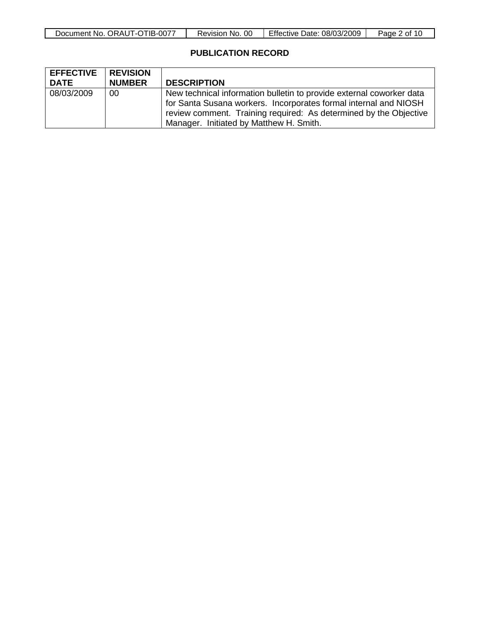| TIB-0077<br>$\sim$ ORAUT-C<br>Document No. | <sub>OC</sub><br>NO.<br>Revision | <b>Effective Date:</b><br>08/03/2009 | Page<br>nt.<br>16 |
|--------------------------------------------|----------------------------------|--------------------------------------|-------------------|

## **PUBLICATION RECORD**

| <b>EFFECTIVE</b> | <b>REVISION</b> |                                                                                                                                                                                                                                                          |
|------------------|-----------------|----------------------------------------------------------------------------------------------------------------------------------------------------------------------------------------------------------------------------------------------------------|
| <b>DATE</b>      | <b>NUMBER</b>   | <b>DESCRIPTION</b>                                                                                                                                                                                                                                       |
| 08/03/2009       | 00              | New technical information bulletin to provide external coworker data<br>for Santa Susana workers. Incorporates formal internal and NIOSH<br>review comment. Training required: As determined by the Objective<br>Manager. Initiated by Matthew H. Smith. |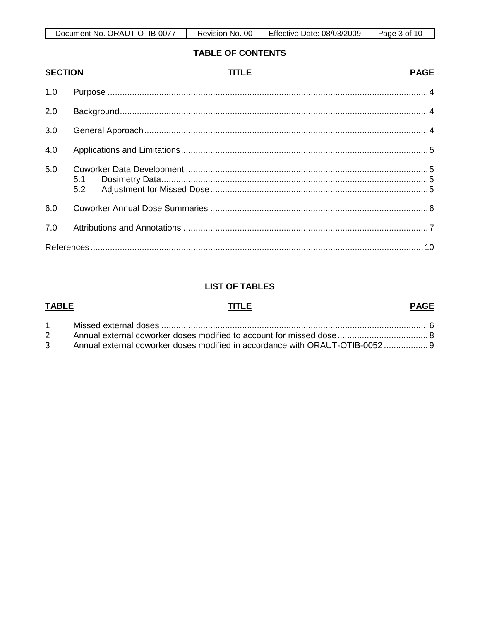| TIB-0077       | <sub>OC</sub> | <b>Effective</b> | Page |
|----------------|---------------|------------------|------|
| $\sim$ ORAUT-C | NO.           | 08/03/2009       | nt.  |
| Document No.   | Revision      | Date:            | 16   |

## **TABLE OF CONTENTS**

| <b>SECTION</b> | TITLE | <b>PAGE</b> |
|----------------|-------|-------------|
| 1.0            |       |             |
| 2.0            |       |             |
| 3.0            |       |             |
| 4.0            |       |             |
| 5.0            |       |             |
| 6.0            |       |             |
| 7.0            |       |             |
|                |       |             |

## **LIST OF TABLES**

| <b>TABLE</b> |                                                                              | <b>PAGE</b> |
|--------------|------------------------------------------------------------------------------|-------------|
|              |                                                                              |             |
|              |                                                                              |             |
|              | 3 Annual external coworker doses modified in accordance with ORAUT-OTIB-0052 |             |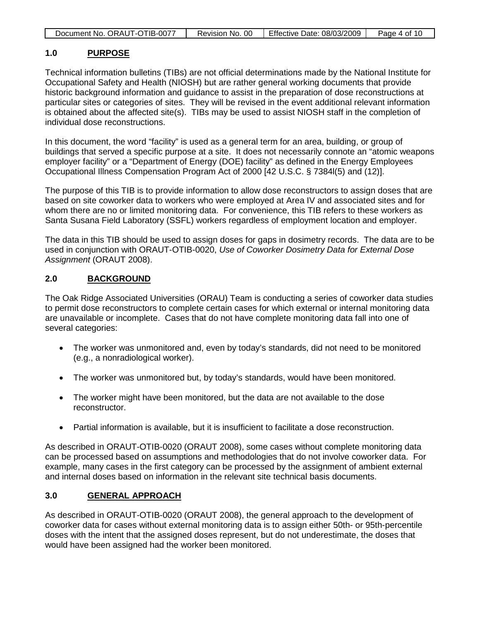| Document No. ORAUT-OTIB-0077 | Revision No. 00 | Effective Date: 08/03/2009 | Page 4 of 10 |
|------------------------------|-----------------|----------------------------|--------------|

#### **1.0 PURPOSE**

Technical information bulletins (TIBs) are not official determinations made by the National Institute for Occupational Safety and Health (NIOSH) but are rather general working documents that provide historic background information and guidance to assist in the preparation of dose reconstructions at particular sites or categories of sites. They will be revised in the event additional relevant information is obtained about the affected site(s). TIBs may be used to assist NIOSH staff in the completion of individual dose reconstructions.

In this document, the word "facility" is used as a general term for an area, building, or group of buildings that served a specific purpose at a site. It does not necessarily connote an "atomic weapons employer facility" or a "Department of Energy (DOE) facility" as defined in the Energy Employees Occupational Illness Compensation Program Act of 2000 [42 U.S.C. § 7384l(5) and (12)].

The purpose of this TIB is to provide information to allow dose reconstructors to assign doses that are based on site coworker data to workers who were employed at Area IV and associated sites and for whom there are no or limited monitoring data. For convenience, this TIB refers to these workers as Santa Susana Field Laboratory (SSFL) workers regardless of employment location and employer.

The data in this TIB should be used to assign doses for gaps in dosimetry records. The data are to be used in conjunction with ORAUT-OTIB-0020, *Use of Coworker Dosimetry Data for External Dose Assignment* (ORAUT 2008).

#### **2.0 BACKGROUND**

The Oak Ridge Associated Universities (ORAU) Team is conducting a series of coworker data studies to permit dose reconstructors to complete certain cases for which external or internal monitoring data are unavailable or incomplete. Cases that do not have complete monitoring data fall into one of several categories:

- The worker was unmonitored and, even by today's standards, did not need to be monitored (e.g., a nonradiological worker).
- The worker was unmonitored but, by today's standards, would have been monitored.
- The worker might have been monitored, but the data are not available to the dose reconstructor.
- Partial information is available, but it is insufficient to facilitate a dose reconstruction.

As described in ORAUT-OTIB-0020 (ORAUT 2008), some cases without complete monitoring data can be processed based on assumptions and methodologies that do not involve coworker data. For example, many cases in the first category can be processed by the assignment of ambient external and internal doses based on information in the relevant site technical basis documents.

#### **3.0 GENERAL APPROACH**

As described in ORAUT-OTIB-0020 (ORAUT 2008), the general approach to the development of coworker data for cases without external monitoring data is to assign either 50th- or 95th-percentile doses with the intent that the assigned doses represent, but do not underestimate, the doses that would have been assigned had the worker been monitored.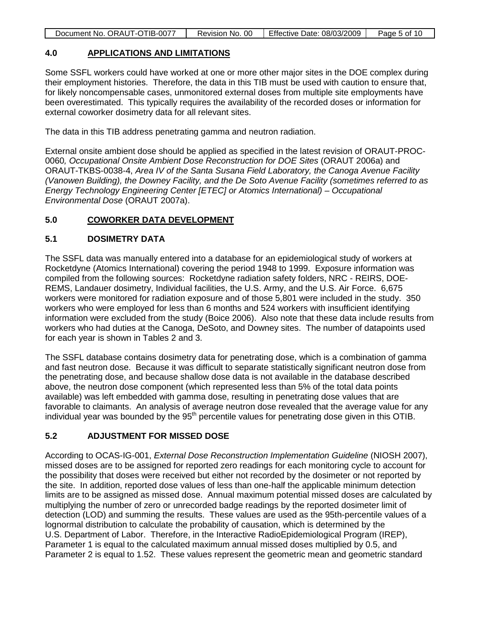|  | Document No. ORAUT-OTIB-0077 | Revision No. 00 | Effective Date: 08/03/2009 | Page 5 of 10 |
|--|------------------------------|-----------------|----------------------------|--------------|
|--|------------------------------|-----------------|----------------------------|--------------|

#### **4.0 APPLICATIONS AND LIMITATIONS**

Some SSFL workers could have worked at one or more other major sites in the DOE complex during their employment histories. Therefore, the data in this TIB must be used with caution to ensure that, for likely noncompensable cases, unmonitored external doses from multiple site employments have been overestimated. This typically requires the availability of the recorded doses or information for external coworker dosimetry data for all relevant sites.

The data in this TIB address penetrating gamma and neutron radiation.

External onsite ambient dose should be applied as specified in the latest revision of ORAUT-PROC-0060*, Occupational Onsite Ambient Dose Reconstruction for DOE Sites* (ORAUT 2006a) and ORAUT-TKBS-0038-4, *Area IV of the Santa Susana Field Laboratory, the Canoga Avenue Facility (Vanowen Building), the Downey Facility, and the De Soto Avenue Facility (sometimes referred to as Energy Technology Engineering Center [ETEC] or Atomics International) – Occupational Environmental Dose* (ORAUT 2007a).

#### **5.0 COWORKER DATA DEVELOPMENT**

### **5.1 DOSIMETRY DATA**

The SSFL data was manually entered into a database for an epidemiological study of workers at Rocketdyne (Atomics International) covering the period 1948 to 1999. Exposure information was compiled from the following sources: Rocketdyne radiation safety folders, NRC - REIRS, DOE-REMS, Landauer dosimetry, Individual facilities, the U.S. Army, and the U.S. Air Force. 6,675 workers were monitored for radiation exposure and of those 5,801 were included in the study. 350 workers who were employed for less than 6 months and 524 workers with insufficient identifying information were excluded from the study (Boice 2006). Also note that these data include results from workers who had duties at the Canoga, DeSoto, and Downey sites. The number of datapoints used for each year is shown in Tables 2 and 3.

The SSFL database contains dosimetry data for penetrating dose, which is a combination of gamma and fast neutron dose. Because it was difficult to separate statistically significant neutron dose from the penetrating dose, and because shallow dose data is not available in the database described above, the neutron dose component (which represented less than 5% of the total data points available) was left embedded with gamma dose, resulting in penetrating dose values that are favorable to claimants. An analysis of average neutron dose revealed that the average value for any individual year was bounded by the 95<sup>th</sup> percentile values for penetrating dose given in this OTIB.

## **5.2 ADJUSTMENT FOR MISSED DOSE**

According to OCAS-IG-001, *External Dose Reconstruction Implementation Guideline* (NIOSH 2007), missed doses are to be assigned for reported zero readings for each monitoring cycle to account for the possibility that doses were received but either not recorded by the dosimeter or not reported by the site. In addition, reported dose values of less than one-half the applicable minimum detection limits are to be assigned as missed dose. Annual maximum potential missed doses are calculated by multiplying the number of zero or unrecorded badge readings by the reported dosimeter limit of detection (LOD) and summing the results. These values are used as the 95th-percentile values of a lognormal distribution to calculate the probability of causation, which is determined by the U.S. Department of Labor. Therefore, in the Interactive RadioEpidemiological Program (IREP), Parameter 1 is equal to the calculated maximum annual missed doses multiplied by 0.5, and Parameter 2 is equal to 1.52. These values represent the geometric mean and geometric standard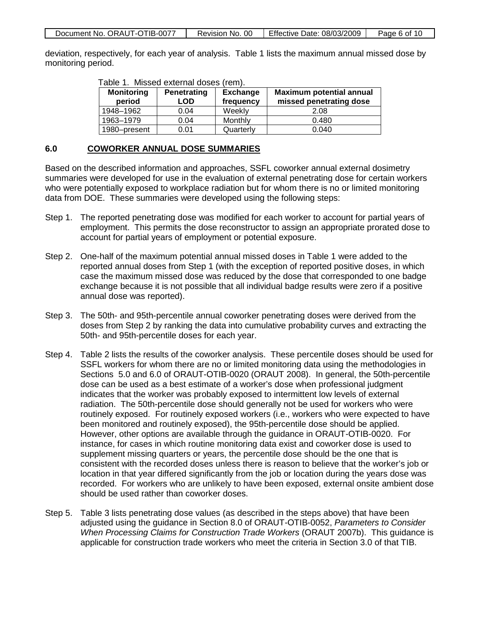|  | Document No. ORAUT-OTIB-0077 | Revision No. 00 | Effective Date: 08/03/2009 | Page 6 of 10 |
|--|------------------------------|-----------------|----------------------------|--------------|
|--|------------------------------|-----------------|----------------------------|--------------|

deviation, respectively, for each year of analysis. Table 1 lists the maximum annual missed dose by monitoring period.

| <b>Monitoring</b><br>period | Penetrating<br>LOD | <b>Exchange</b><br>frequency | <b>Maximum potential annual</b><br>missed penetrating dose |
|-----------------------------|--------------------|------------------------------|------------------------------------------------------------|
| 1948–1962                   | 0.04               | Weekly                       | 2.08                                                       |
| 1963-1979                   | 0.04               | Monthly                      | 0.480                                                      |
| 1980-present                | 0.01               | Quarterly                    | 0.040                                                      |

### Table 1. Missed external doses (rem).

#### **6.0 COWORKER ANNUAL DOSE SUMMARIES**

Based on the described information and approaches, SSFL coworker annual external dosimetry summaries were developed for use in the evaluation of external penetrating dose for certain workers who were potentially exposed to workplace radiation but for whom there is no or limited monitoring data from DOE. These summaries were developed using the following steps:

- Step 1. The reported penetrating dose was modified for each worker to account for partial years of employment. This permits the dose reconstructor to assign an appropriate prorated dose to account for partial years of employment or potential exposure.
- Step 2. One-half of the maximum potential annual missed doses in Table 1 were added to the reported annual doses from Step 1 (with the exception of reported positive doses, in which case the maximum missed dose was reduced by the dose that corresponded to one badge exchange because it is not possible that all individual badge results were zero if a positive annual dose was reported).
- Step 3. The 50th- and 95th-percentile annual coworker penetrating doses were derived from the doses from Step 2 by ranking the data into cumulative probability curves and extracting the 50th- and 95th-percentile doses for each year.
- Step 4. Table 2 lists the results of the coworker analysis. These percentile doses should be used for SSFL workers for whom there are no or limited monitoring data using the methodologies in Sections 5.0 and 6.0 of ORAUT-OTIB-0020 (ORAUT 2008). In general, the 50th-percentile dose can be used as a best estimate of a worker's dose when professional judgment indicates that the worker was probably exposed to intermittent low levels of external radiation. The 50th-percentile dose should generally not be used for workers who were routinely exposed. For routinely exposed workers (i.e., workers who were expected to have been monitored and routinely exposed), the 95th-percentile dose should be applied. However, other options are available through the guidance in ORAUT-OTIB-0020. For instance, for cases in which routine monitoring data exist and coworker dose is used to supplement missing quarters or years, the percentile dose should be the one that is consistent with the recorded doses unless there is reason to believe that the worker's job or location in that year differed significantly from the job or location during the years dose was recorded. For workers who are unlikely to have been exposed, external onsite ambient dose should be used rather than coworker doses.
- Step 5. Table 3 lists penetrating dose values (as described in the steps above) that have been adjusted using the guidance in Section 8.0 of ORAUT-OTIB-0052, *Parameters to Consider When Processing Claims for Construction Trade Workers* (ORAUT 2007b). This guidance is applicable for construction trade workers who meet the criteria in Section 3.0 of that TIB.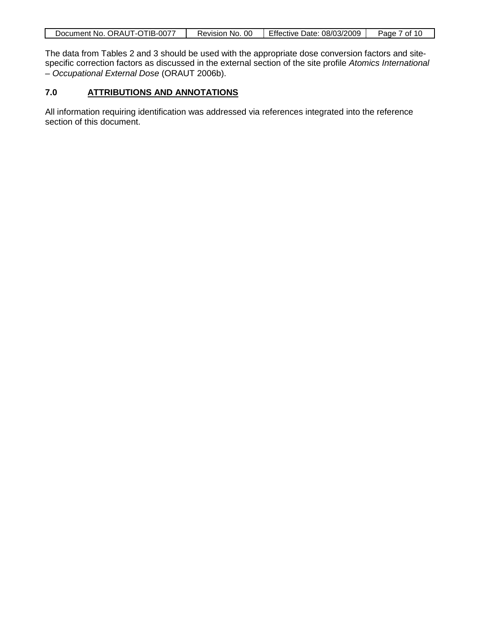| ٦Б<br>-0077-<br>ORAUT<br>Document No.<br>1 - U | 00<br>NO.<br>Revision | Effective<br>08/03/2009<br>Date: | Ωt<br>Page<br>10. |
|------------------------------------------------|-----------------------|----------------------------------|-------------------|

The data from Tables 2 and 3 should be used with the appropriate dose conversion factors and sitespecific correction factors as discussed in the external section of the site profile *Atomics International – Occupational External Dose* (ORAUT 2006b).

#### **7.0 ATTRIBUTIONS AND ANNOTATIONS**

All information requiring identification was addressed via references integrated into the reference section of this document.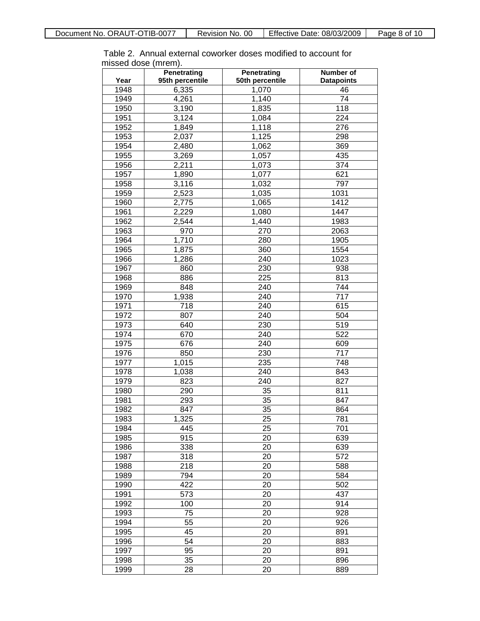Table 2. Annual external coworker doses modified to account for missed dose (mrem).

|      | <b>Penetrating</b> | <b>Penetrating</b> | <b>Number of</b>  |
|------|--------------------|--------------------|-------------------|
| Year | 95th percentile    | 50th percentile    | <b>Datapoints</b> |
| 1948 | 6,335              | 1,070              | 46                |
| 1949 | 4,261              | 1,140              | $\overline{74}$   |
| 1950 | 3,190              | 1,835              | $\overline{118}$  |
| 1951 | 3,124              | 1,084              | $\overline{224}$  |
| 1952 | 1,849              | 1,118              | 276               |
| 1953 | 2,037              | 1,125              | 298               |
| 1954 | 2,480              | 1,062              | $\overline{369}$  |
| 1955 | 3,269              | 1,057              | 435               |
| 1956 | 2,211              | 1,073              | 374               |
| 1957 | 1,890              | 1,077              | 621               |
| 1958 | 3,116              | 1,032              | 797               |
| 1959 | 2,523              | 1,035              | 1031              |
| 1960 | 2,775              | 1,065              | 1412              |
| 1961 | 2,229              | 1,080              | 1447              |
| 1962 | 2,544              | 1,440              | 1983              |
| 1963 | 970                | 270                | 2063              |
| 1964 | 1,710              | 280                | 1905              |
| 1965 | 1,875              | $\overline{360}$   | 1554              |
| 1966 | 1,286              | 240                | 1023              |
| 1967 | 860                | $\overline{230}$   | 938               |
| 1968 | 886                | 225                | 813               |
| 1969 | 848                | $\frac{1}{240}$    | 744               |
| 1970 | 1,938              | 240                | $\overline{717}$  |
| 1971 | $\overline{718}$   | 240                | 615               |
| 1972 | 807                | 240                | 504               |
| 1973 | 640                | 230                | $\overline{519}$  |
| 1974 | 670                | $\frac{1}{240}$    | $\overline{522}$  |
| 1975 | 676                | 240                | 609               |
| 1976 | 850                | $\overline{230}$   | $\overline{717}$  |
| 1977 | 1,015              | 235                | $\overline{748}$  |
| 1978 | 1,038              | $\frac{1}{240}$    | 843               |
| 1979 | 823                | 240                | 827               |
| 1980 | 290                | $\overline{35}$    | 811               |
| 1981 | 293                | $\overline{35}$    | 847               |
| 1982 | 847                | $\overline{35}$    | 864               |
| 1983 | 1,325              | $\overline{25}$    | 781               |
| 1984 | 445                | 25                 | 701               |
| 1985 | $\overline{915}$   | 20                 | 639               |
| 1986 | 338                | 20                 | 639               |
| 1987 | 318                | 20                 | $\overline{572}$  |
| 1988 | $\overline{218}$   | 20                 | 588               |
| 1989 | 794                | 20                 | 584               |
| 1990 | 422                | 20                 | 502               |
| 1991 | $\overline{573}$   | 20                 | 437               |
| 1992 | 100                | 20                 | 914               |
| 1993 | 75                 | 20                 | 928               |
| 1994 | $\overline{55}$    | 20                 | 926               |
| 1995 | 45                 | 20                 | 891               |
| 1996 | 54                 | 20                 | 883               |
| 1997 | 95                 | 20                 | 891               |
| 1998 | 35                 | 20                 | 896               |
| 1999 | 28                 | 20                 | 889               |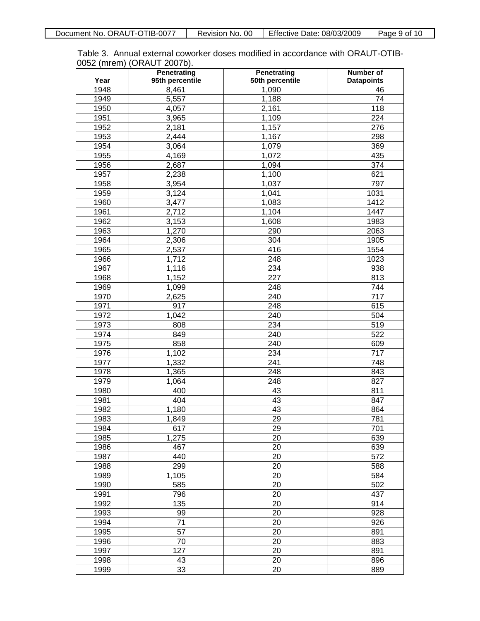| Table 3. Annual external coworker doses modified in accordance with ORAUT-OTIB- |
|---------------------------------------------------------------------------------|
| 0052 (mrem) (ORAUT 2007b).                                                      |

|      | <b>Penetrating</b> | <b>Penetrating</b> | <b>Number of</b>  |
|------|--------------------|--------------------|-------------------|
| Year | 95th percentile    | 50th percentile    | <b>Datapoints</b> |
| 1948 | 8,461              | 1,090              | 46                |
| 1949 | 5,557              | 1,188              | 74                |
| 1950 | 4,057              | 2,161              | $\overline{118}$  |
| 1951 | 3,965              | 1,109              | 224               |
| 1952 | 2,181              | 1,157              | 276               |
| 1953 | 2,444              | 1,167              | 298               |
| 1954 | 3,064              | 1,079              | 369               |
| 1955 | 4,169              | 1,072              | 435               |
| 1956 | 2,687              | 1,094              | 374               |
| 1957 | 2,238              | 1,100              | 621               |
| 1958 | 3,954              | 1,037              | 797               |
| 1959 | 3,124              | 1,041              | 1031              |
| 1960 | 3,477              | 1,083              | 1412              |
| 1961 | 2,712              | 1,104              | 1447              |
| 1962 | 3,153              | 1,608              | 1983              |
| 1963 | 1,270              | 290                | 2063              |
| 1964 | 2,306              | 304                | 1905              |
| 1965 | 2,537              | 416                | 1554              |
| 1966 | 1,712              | 248                | 1023              |
| 1967 | 1,116              | 234                | 938               |
| 1968 | 1,152              | $\overline{227}$   | 813               |
| 1969 | 1,099              | 248                | 744               |
| 1970 | 2,625              | 240                | 717               |
| 1971 | 917                | 248                | 615               |
| 1972 | 1,042              | 240                | 504               |
| 1973 | 808                | 234                | 519               |
| 1974 | 849                | 240                | 522               |
| 1975 | 858                | 240                | 609               |
| 1976 | 1,102              | 234                | 717               |
| 1977 | 1,332              | 241                | 748               |
| 1978 | 1,365              | 248                | 843               |
| 1979 | 1,064              | 248                | 827               |
| 1980 | 400                | 43                 | 811               |
| 1981 | 404                | 43                 | 847               |
| 1982 | 1,180              | 43                 | 864               |
| 1983 | 1,849              | $\overline{29}$    | 781               |
| 1984 | 617                | 29                 | 701               |
| 1985 | 1,275              | 20                 | 639               |
| 1986 | 467                | 20                 | 639               |
| 1987 | 440                | 20                 | 572               |
| 1988 | 299                | 20                 | 588               |
| 1989 | 1,105              | 20                 | 584               |
| 1990 | 585                | 20                 | 502               |
| 1991 | 796                | 20                 | 437               |
| 1992 | 135                | 20                 | 914               |
| 1993 | 99                 | 20                 | 928               |
| 1994 | 71                 | 20                 | 926               |
| 1995 | 57                 | 20                 | 891               |
| 1996 | 70                 | 20                 | 883               |
| 1997 | 127                | 20                 | 891               |
| 1998 | 43                 | 20                 | 896               |
| 1999 | 33                 | 20                 | 889               |